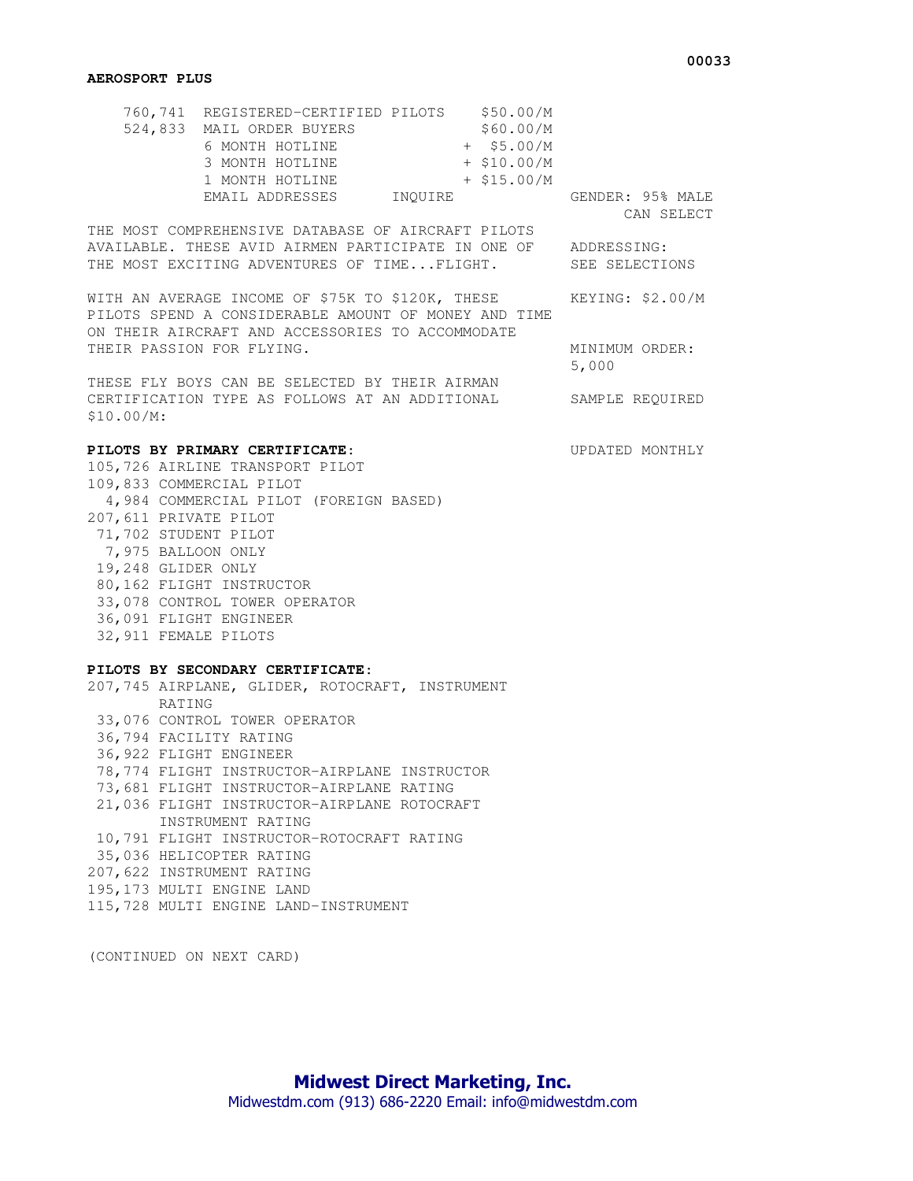## **AEROSPORT PLUS**

| 760,741 REGISTERED-CERTIFIED PILOTS |         | \$50.00/M     |                  |
|-------------------------------------|---------|---------------|------------------|
| 524,833 MAIL ORDER BUYERS           |         | \$60.00/M     |                  |
| 6 MONTH HOTLINE                     |         | $+$ \$5.00/M  |                  |
| 3 MONTH HOTLINE                     |         | $+$ \$10.00/M |                  |
| 1 MONTH HOTLINE                     |         | $+$ \$15.00/M |                  |
| EMAIL ADDRESSES                     | INOUIRE |               | GENDER: 95% MALE |
|                                     |         |               | CAN SELECT       |

THE MOST COMPREHENSIVE DATABASE OF AIRCRAFT PILOTS AVAILABLE. THESE AVID AIRMEN PARTICIPATE IN ONE OF ADDRESSING: THE MOST EXCITING ADVENTURES OF TIME...FLIGHT. SEE SELECTIONS

WITH AN AVERAGE INCOME OF \$75K TO \$120K, THESE KEYING: \$2.00/M PILOTS SPEND A CONSIDERABLE AMOUNT OF MONEY AND TIME ON THEIR AIRCRAFT AND ACCESSORIES TO ACCOMMODATE THEIR PASSION FOR FLYING. THEIR MINIMUM ORDER:

5,000

THESE FLY BOYS CAN BE SELECTED BY THEIR AIRMAN CERTIFICATION TYPE AS FOLLOWS AT AN ADDITIONAL SAMPLE REQUIRED \$10.00/M:

## **PILOTS BY PRIMARY CERTIFICATE**: UPDATED MONTHLY

105,726 AIRLINE TRANSPORT PILOT 109,833 COMMERCIAL PILOT 4,984 COMMERCIAL PILOT (FOREIGN BASED) 207,611 PRIVATE PILOT 71,702 STUDENT PILOT 7,975 BALLOON ONLY 19,248 GLIDER ONLY 80,162 FLIGHT INSTRUCTOR 33,078 CONTROL TOWER OPERATOR 36,091 FLIGHT ENGINEER 32,911 FEMALE PILOTS

## **PILOTS BY SECONDARY CERTIFICATE**:

207,745 AIRPLANE, GLIDER, ROTOCRAFT, INSTRUMENT RATING 33,076 CONTROL TOWER OPERATOR 36,794 FACILITY RATING 36,922 FLIGHT ENGINEER 78,774 FLIGHT INSTRUCTOR-AIRPLANE INSTRUCTOR 73,681 FLIGHT INSTRUCTOR-AIRPLANE RATING 21,036 FLIGHT INSTRUCTOR-AIRPLANE ROTOCRAFT INSTRUMENT RATING 10,791 FLIGHT INSTRUCTOR-ROTOCRAFT RATING 35,036 HELICOPTER RATING 207,622 INSTRUMENT RATING 195,173 MULTI ENGINE LAND 115,728 MULTI ENGINE LAND-INSTRUMENT

(CONTINUED ON NEXT CARD)